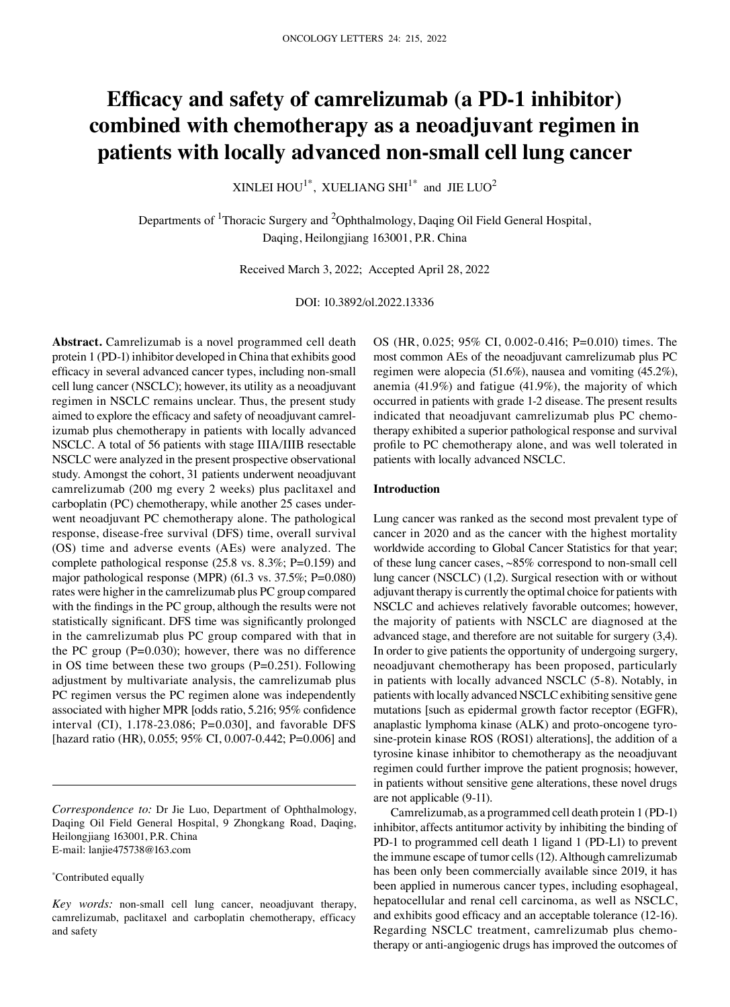# **Efficacy and safety of camrelizumab (a PD‑1 inhibitor) combined with chemotherapy as a neoadjuvant regimen in patients with locally advanced non‑small cell lung cancer**

XINLEI HOU<sup>1\*</sup>, XUELIANG SHI<sup>1\*</sup> and JIE LUO<sup>2</sup>

Departments of <sup>1</sup>Thoracic Surgery and <sup>2</sup>Ophthalmology, Daqing Oil Field General Hospital, Daqing, Heilongjiang 163001, P.R. China

Received March 3, 2022; Accepted April 28, 2022

DOI: 10.3892/ol.2022.13336

**Abstract.** Camrelizumab is a novel programmed cell death protein 1 (PD‑1) inhibitor developed in China that exhibits good efficacy in several advanced cancer types, including non‑small cell lung cancer (NSCLC); however, its utility as a neoadjuvant regimen in NSCLC remains unclear. Thus, the present study aimed to explore the efficacy and safety of neoadjuvant camrelizumab plus chemotherapy in patients with locally advanced NSCLC. A total of 56 patients with stage IIIA/IIIB resectable NSCLC were analyzed in the present prospective observational study. Amongst the cohort, 31 patients underwent neoadjuvant camrelizumab (200 mg every 2 weeks) plus paclitaxel and carboplatin (PC) chemotherapy, while another 25 cases underwent neoadjuvant PC chemotherapy alone. The pathological response, disease‑free survival (DFS) time, overall survival (OS) time and adverse events (AEs) were analyzed. The complete pathological response (25.8 vs. 8.3%; P=0.159) and major pathological response (MPR) (61.3 vs. 37.5%; P=0.080) rates were higher in the camrelizumab plus PC group compared with the findings in the PC group, although the results were not statistically significant. DFS time was significantly prolonged in the camrelizumab plus PC group compared with that in the PC group  $(P=0.030)$ ; however, there was no difference in OS time between these two groups  $(P=0.251)$ . Following adjustment by multivariate analysis, the camrelizumab plus PC regimen versus the PC regimen alone was independently associated with higher MPR [odds ratio, 5.216; 95% confidence interval (CI), 1.178‑23.086; P=0.030], and favorable DFS [hazard ratio (HR), 0.055; 95% CI, 0.007-0.442; P=0.006] and

\* Contributed equally

OS (HR, 0.025; 95% CI, 0.002‑0.416; P=0.010) times. The most common AEs of the neoadjuvant camrelizumab plus PC regimen were alopecia (51.6%), nausea and vomiting (45.2%), anemia (41.9%) and fatigue (41.9%), the majority of which occurred in patients with grade 1‑2 disease. The present results indicated that neoadjuvant camrelizumab plus PC chemotherapy exhibited a superior pathological response and survival profile to PC chemotherapy alone, and was well tolerated in patients with locally advanced NSCLC.

#### **Introduction**

Lung cancer was ranked as the second most prevalent type of cancer in 2020 and as the cancer with the highest mortality worldwide according to Global Cancer Statistics for that year; of these lung cancer cases, ~85% correspond to non‑small cell lung cancer (NSCLC) (1,2). Surgical resection with or without adjuvant therapy is currently the optimal choice for patients with NSCLC and achieves relatively favorable outcomes; however, the majority of patients with NSCLC are diagnosed at the advanced stage, and therefore are not suitable for surgery (3,4). In order to give patients the opportunity of undergoing surgery, neoadjuvant chemotherapy has been proposed, particularly in patients with locally advanced NSCLC (5‑8). Notably, in patients with locally advanced NSCLC exhibiting sensitive gene mutations [such as epidermal growth factor receptor (EGFR), anaplastic lymphoma kinase (ALK) and proto-oncogene tyrosine‑protein kinase ROS (ROS1) alterations], the addition of a tyrosine kinase inhibitor to chemotherapy as the neoadjuvant regimen could further improve the patient prognosis; however, in patients without sensitive gene alterations, these novel drugs are not applicable (9‑11).

Camrelizumab, as a programmed cell death protein 1 (PD‑1) inhibitor, affects antitumor activity by inhibiting the binding of PD-1 to programmed cell death 1 ligand 1 (PD-L1) to prevent the immune escape of tumor cells(12). Although camrelizumab has been only been commercially available since 2019, it has been applied in numerous cancer types, including esophageal, hepatocellular and renal cell carcinoma, as well as NSCLC, and exhibits good efficacy and an acceptable tolerance (12‑16). Regarding NSCLC treatment, camrelizumab plus chemotherapy or anti‑angiogenic drugs has improved the outcomes of

*Correspondence to:* Dr Jie Luo, Department of Ophthalmology, Daqing Oil Field General Hospital, 9 Zhongkang Road, Daqing, Heilongjiang 163001, P.R. China E‑mail: lanjie475738@163.com

*Key words:* non‑small cell lung cancer, neoadjuvant therapy, camrelizumab, paclitaxel and carboplatin chemotherapy, efficacy and safety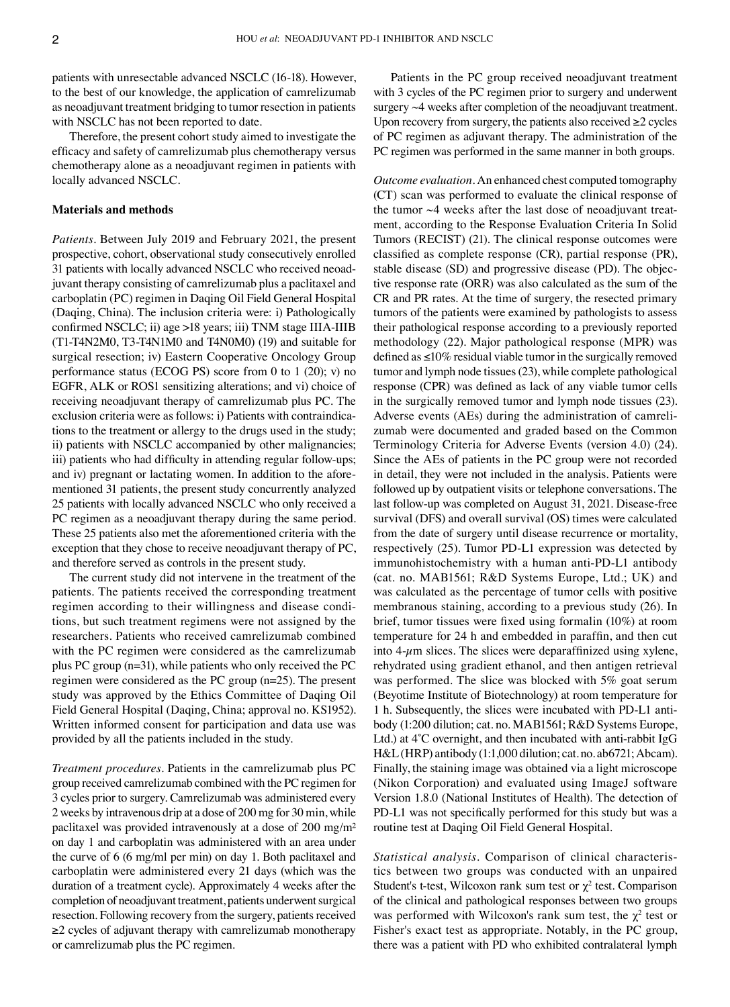patients with unresectable advanced NSCLC (16‑18). However, to the best of our knowledge, the application of camrelizumab as neoadjuvant treatment bridging to tumor resection in patients with NSCLC has not been reported to date.

Therefore, the present cohort study aimed to investigate the efficacy and safety of camrelizumab plus chemotherapy versus chemotherapy alone as a neoadjuvant regimen in patients with locally advanced NSCLC.

### **Materials and methods**

*Patients.* Between July 2019 and February 2021, the present prospective, cohort, observational study consecutively enrolled 31 patients with locally advanced NSCLC who received neoadjuvant therapy consisting of camrelizumab plus a paclitaxel and carboplatin (PC) regimen in Daqing Oil Field General Hospital (Daqing, China). The inclusion criteria were: i) Pathologically confirmed NSCLC; ii) age >18 years; iii) TNM stage IIIA‑IIIB (T1‑T4N2M0, T3‑T4N1M0 and T4N0M0) (19) and suitable for surgical resection; iv) Eastern Cooperative Oncology Group performance status (ECOG PS) score from 0 to 1 (20); v) no EGFR, ALK or ROS1 sensitizing alterations; and vi) choice of receiving neoadjuvant therapy of camrelizumab plus PC. The exclusion criteria were as follows: i) Patients with contraindications to the treatment or allergy to the drugs used in the study; ii) patients with NSCLC accompanied by other malignancies; iii) patients who had difficulty in attending regular follow-ups; and iv) pregnant or lactating women. In addition to the aforementioned 31 patients, the present study concurrently analyzed 25 patients with locally advanced NSCLC who only received a PC regimen as a neoadjuvant therapy during the same period. These 25 patients also met the aforementioned criteria with the exception that they chose to receive neoadjuvant therapy of PC, and therefore served as controls in the present study.

The current study did not intervene in the treatment of the patients. The patients received the corresponding treatment regimen according to their willingness and disease conditions, but such treatment regimens were not assigned by the researchers. Patients who received camrelizumab combined with the PC regimen were considered as the camrelizumab plus PC group (n=31), while patients who only received the PC regimen were considered as the PC group (n=25). The present study was approved by the Ethics Committee of Daqing Oil Field General Hospital (Daqing, China; approval no. KS1952). Written informed consent for participation and data use was provided by all the patients included in the study.

*Treatment procedures.* Patients in the camrelizumab plus PC group received camrelizumab combined with the PC regimen for 3 cycles prior to surgery. Camrelizumab was administered every 2 weeks by intravenous drip at a dose of 200 mg for 30 min, while paclitaxel was provided intravenously at a dose of 200 mg/m² on day 1 and carboplatin was administered with an area under the curve of 6 (6 mg/ml per min) on day 1. Both paclitaxel and carboplatin were administered every 21 days (which was the duration of a treatment cycle). Approximately 4 weeks after the completion of neoadjuvant treatment, patients underwent surgical resection. Following recovery from the surgery, patients received ≥2 cycles of adjuvant therapy with camrelizumab monotherapy or camrelizumab plus the PC regimen.

Patients in the PC group received neoadjuvant treatment with 3 cycles of the PC regimen prior to surgery and underwent surgery  $\sim$  4 weeks after completion of the neoadjuvant treatment. Upon recovery from surgery, the patients also received  $\geq 2$  cycles of PC regimen as adjuvant therapy. The administration of the PC regimen was performed in the same manner in both groups.

*Outcome evaluation.* An enhanced chest computed tomography (CT) scan was performed to evaluate the clinical response of the tumor  $\sim$ 4 weeks after the last dose of neoadjuvant treat– ment, according to the Response Evaluation Criteria In Solid Tumors (RECIST) (21). The clinical response outcomes were classified as complete response (CR), partial response (PR), stable disease (SD) and progressive disease (PD). The objective response rate (ORR) was also calculated as the sum of the CR and PR rates. At the time of surgery, the resected primary tumors of the patients were examined by pathologists to assess their pathological response according to a previously reported methodology (22). Major pathological response (MPR) was defined as ≤10% residual viable tumor in the surgically removed tumor and lymph node tissues(23), while complete pathological response (CPR) was defined as lack of any viable tumor cells in the surgically removed tumor and lymph node tissues (23). Adverse events (AEs) during the administration of camrelizumab were documented and graded based on the Common Terminology Criteria for Adverse Events (version 4.0) (24). Since the AEs of patients in the PC group were not recorded in detail, they were not included in the analysis. Patients were followed up by outpatient visits or telephone conversations. The last follow-up was completed on August 31, 2021. Disease-free survival (DFS) and overall survival (OS) times were calculated from the date of surgery until disease recurrence or mortality, respectively (25). Tumor PD-L1 expression was detected by immunohistochemistry with a human anti-PD-L1 antibody (cat. no. MAB1561; R&D Systems Europe, Ltd.; UK) and was calculated as the percentage of tumor cells with positive membranous staining, according to a previous study (26). In brief, tumor tissues were fixed using formalin (10%) at room temperature for 24 h and embedded in paraffin, and then cut into  $4-\mu$ m slices. The slices were deparaffinized using xylene, rehydrated using gradient ethanol, and then antigen retrieval was performed. The slice was blocked with 5% goat serum (Beyotime Institute of Biotechnology) at room temperature for 1 h. Subsequently, the slices were incubated with PD-L1 antibody (1:200 dilution; cat. no. MAB1561; R&D Systems Europe, Ltd.) at  $4^{\circ}$ C overnight, and then incubated with anti-rabbit IgG H&L (HRP) antibody (1:1,000 dilution; cat. no. ab6721; Abcam). Finally, the staining image was obtained via a light microscope (Nikon Corporation) and evaluated using ImageJ software Version 1.8.0 (National Institutes of Health). The detection of PD-L1 was not specifically performed for this study but was a routine test at Daqing Oil Field General Hospital.

*Statistical analysis.* Comparison of clinical characteris‑ tics between two groups was conducted with an unpaired Student's t-test, Wilcoxon rank sum test or  $\chi^2$  test. Comparison of the clinical and pathological responses between two groups was performed with Wilcoxon's rank sum test, the  $\chi^2$  test or Fisher's exact test as appropriate. Notably, in the PC group, there was a patient with PD who exhibited contralateral lymph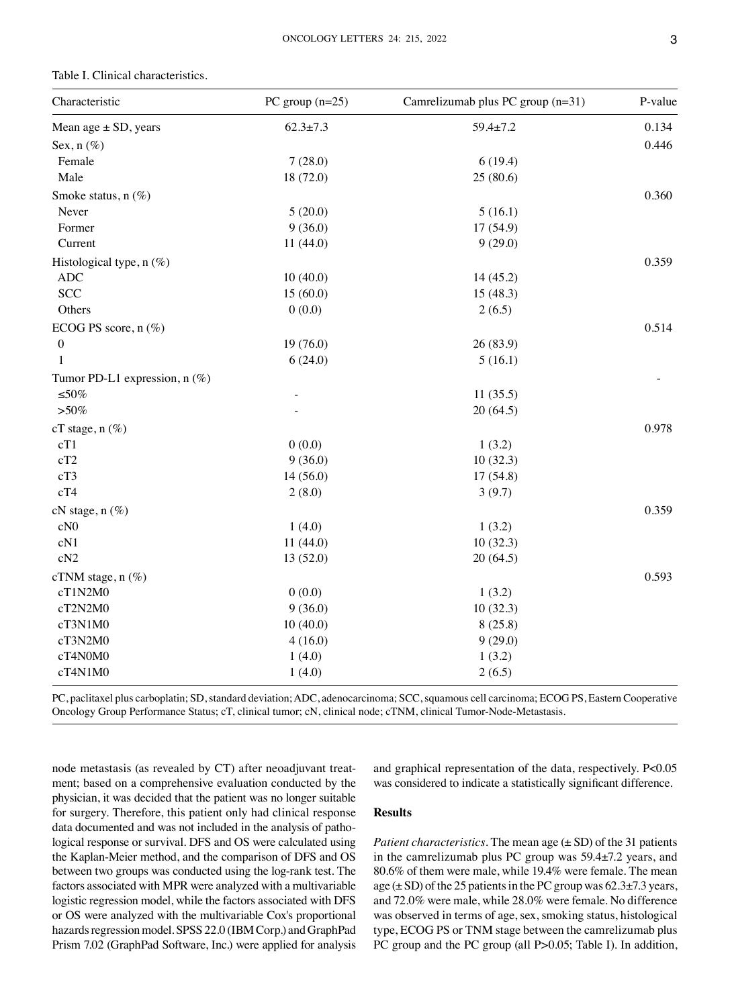| Characteristic                  | PC group $(n=25)$ | Camrelizumab plus PC group (n=31) | P-value |
|---------------------------------|-------------------|-----------------------------------|---------|
| Mean age $\pm$ SD, years        | $62.3 \pm 7.3$    | $59.4 \pm 7.2$                    | 0.134   |
| Sex, $n$ (%)                    |                   |                                   | 0.446   |
| Female                          | 7(28.0)           | 6(19.4)                           |         |
| Male                            | 18 (72.0)         | 25(80.6)                          |         |
| Smoke status, n (%)             |                   |                                   | 0.360   |
| Never                           | 5(20.0)           | 5(16.1)                           |         |
| Former                          | 9(36.0)           | 17(54.9)                          |         |
| Current                         | 11(44.0)          | 9(29.0)                           |         |
| Histological type, $n$ (%)      |                   |                                   | 0.359   |
| <b>ADC</b>                      | 10(40.0)          | 14(45.2)                          |         |
| <b>SCC</b>                      | 15(60.0)          | 15(48.3)                          |         |
| Others                          | 0(0.0)            | 2(6.5)                            |         |
| ECOG PS score, $n(\%)$          |                   |                                   | 0.514   |
| $\boldsymbol{0}$                | 19(76.0)          | 26(83.9)                          |         |
| 1                               | 6(24.0)           | 5(16.1)                           |         |
| Tumor PD-L1 expression, $n$ (%) |                   |                                   |         |
| ${\leq}50\%$                    |                   | 11(35.5)                          |         |
| $> 50\%$                        |                   | 20(64.5)                          |         |
| $cT$ stage, $n$ (%)             |                   |                                   | 0.978   |
| cT1                             | 0(0.0)            | 1(3.2)                            |         |
| cT2                             | 9(36.0)           | 10(32.3)                          |         |
| cT3                             | 14(56.0)          | 17(54.8)                          |         |
| cT4                             | 2(8.0)            | 3(9.7)                            |         |
| $cN$ stage, $n$ $(\%)$          |                   |                                   | 0.359   |
| cN <sub>0</sub>                 | 1(4.0)            | 1(3.2)                            |         |
| cN1                             | 11(44.0)          | 10(32.3)                          |         |
| cN <sub>2</sub>                 | 13(52.0)          | 20(64.5)                          |         |
| cTNM stage, $n$ (%)             |                   |                                   | 0.593   |
| cT1N2M0                         | 0(0.0)            | 1(3.2)                            |         |
| cT2N2M0                         | 9(36.0)           | 10(32.3)                          |         |
| cT3N1M0                         | 10(40.0)          | 8(25.8)                           |         |
| cT3N2M0                         | 4(16.0)           | 9(29.0)                           |         |
| cT4N0M0                         | 1(4.0)            | 1(3.2)                            |         |
| cT4N1M0                         | 1(4.0)            | 2(6.5)                            |         |
|                                 |                   |                                   |         |

Table I. Clinical characteristics.

PC, paclitaxel plus carboplatin; SD, standard deviation; ADC, adenocarcinoma; SCC, squamous cell carcinoma; ECOG PS, Eastern Cooperative Oncology Group Performance Status; cT, clinical tumor; cN, clinical node; cTNM, clinical Tumor-Node-Metastasis.

node metastasis (as revealed by CT) after neoadjuvant treatment; based on a comprehensive evaluation conducted by the physician, it was decided that the patient was no longer suitable for surgery. Therefore, this patient only had clinical response data documented and was not included in the analysis of pathological response or survival. DFS and OS were calculated using the Kaplan‑Meier method, and the comparison of DFS and OS between two groups was conducted using the log-rank test. The factors associated with MPR were analyzed with a multivariable logistic regression model, while the factors associated with DFS or OS were analyzed with the multivariable Cox's proportional hazards regression model. SPSS 22.0 (IBM Corp.) and GraphPad Prism 7.02 (GraphPad Software, Inc.) were applied for analysis

and graphical representation of the data, respectively. P<0.05 was considered to indicate a statistically significant difference.

# **Results**

*Patient characteristics*. The mean age ( $\pm$  SD) of the 31 patients in the camrelizumab plus PC group was 59.4±7.2 years, and 80.6% of them were male, while 19.4% were female. The mean age  $(\pm SD)$  of the 25 patients in the PC group was 62.3 $\pm$ 7.3 years, and 72.0% were male, while 28.0% were female. No difference was observed in terms of age, sex, smoking status, histological type, ECOG PS or TNM stage between the camrelizumab plus PC group and the PC group (all P>0.05; Table I). In addition,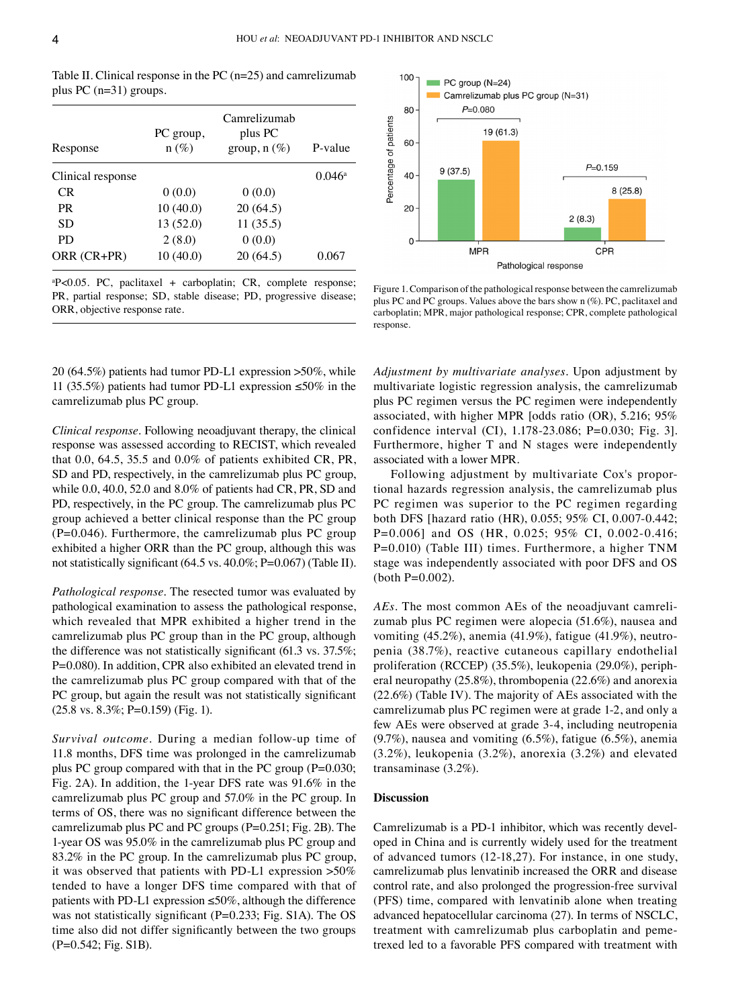| Response          | PC group,<br>$n (\%)$ | Camrelizumab<br>plus PC<br>group, $n(\%)$ | P-value         |
|-------------------|-----------------------|-------------------------------------------|-----------------|
| Clinical response |                       |                                           | $0.046^{\rm a}$ |
| CR.               | 0(0.0)                | 0(0.0)                                    |                 |
| PR.               | 10(40.0)              | 20(64.5)                                  |                 |
| SD                | 13 (52.0)             | 11(35.5)                                  |                 |
| PD                | 2(8.0)                | 0(0.0)                                    |                 |
| ORR (CR+PR)       | 10(40.0)              | 20 (64.5)                                 | 0.067           |

Table II. Clinical response in the PC (n=25) and camrelizumab plus PC (n=31) groups.

a P<0.05. PC, paclitaxel + carboplatin; CR, complete response; PR, partial response; SD, stable disease; PD, progressive disease; ORR, objective response rate.

20 (64.5%) patients had tumor PD‑L1 expression >50%, while 11 (35.5%) patients had tumor PD‑L1 expression ≤50% in the camrelizumab plus PC group.

*Clinical response.* Following neoadjuvant therapy, the clinical response was assessed according to RECIST, which revealed that 0.0, 64.5, 35.5 and 0.0% of patients exhibited CR, PR, SD and PD, respectively, in the camrelizumab plus PC group, while 0.0, 40.0, 52.0 and 8.0% of patients had CR, PR, SD and PD, respectively, in the PC group. The camrelizumab plus PC group achieved a better clinical response than the PC group  $(P=0.046)$ . Furthermore, the camrelizumab plus PC group exhibited a higher ORR than the PC group, although this was not statistically significant (64.5 vs. 40.0%; P=0.067) (Table II).

*Pathological response.* The resected tumor was evaluated by pathological examination to assess the pathological response, which revealed that MPR exhibited a higher trend in the camrelizumab plus PC group than in the PC group, although the difference was not statistically significant (61.3 vs. 37.5%; P=0.080). In addition, CPR also exhibited an elevated trend in the camrelizumab plus PC group compared with that of the PC group, but again the result was not statistically significant (25.8 vs. 8.3%; P=0.159) (Fig. 1).

*Survival outcome.* During a median follow‑up time of 11.8 months, DFS time was prolonged in the camrelizumab plus PC group compared with that in the PC group (P=0.030; Fig. 2A). In addition, the 1‑year DFS rate was 91.6% in the camrelizumab plus PC group and 57.0% in the PC group. In terms of OS, there was no significant difference between the camrelizumab plus PC and PC groups (P=0.251; Fig. 2B). The 1‑year OS was 95.0% in the camrelizumab plus PC group and 83.2% in the PC group. In the camrelizumab plus PC group, it was observed that patients with PD‑L1 expression >50% tended to have a longer DFS time compared with that of patients with PD-L1 expression  $\leq 50\%$ , although the difference was not statistically significant (P=0.233; Fig. S1A). The OS time also did not differ significantly between the two groups (P=0.542; Fig. S1B).



Figure 1. Comparison of the pathological response between the camrelizumab plus PC and PC groups. Values above the bars show n (%). PC, paclitaxel and carboplatin; MPR, major pathological response; CPR, complete pathological response.

*Adjustment by multivariate analyses.* Upon adjustment by multivariate logistic regression analysis, the camrelizumab plus PC regimen versus the PC regimen were independently associated, with higher MPR [odds ratio (OR), 5.216; 95% confidence interval (CI), 1.178‑23.086; P=0.030; Fig. 3]. Furthermore, higher T and N stages were independently associated with a lower MPR.

Following adjustment by multivariate Cox's proportional hazards regression analysis, the camrelizumab plus PC regimen was superior to the PC regimen regarding both DFS [hazard ratio (HR), 0.055; 95% CI, 0.007‑0.442; P=0.006] and OS (HR, 0.025; 95% CI, 0.002-0.416; P=0.010) (Table III) times. Furthermore, a higher TNM stage was independently associated with poor DFS and OS  $(both P=0.002)$ .

*AEs.* The most common AEs of the neoadjuvant camrelizumab plus PC regimen were alopecia (51.6%), nausea and vomiting  $(45.2\%)$ , anemia  $(41.9\%)$ , fatigue  $(41.9\%)$ , neutropenia (38.7%), reactive cutaneous capillary endothelial proliferation (RCCEP) (35.5%), leukopenia (29.0%), peripheral neuropathy (25.8%), thrombopenia (22.6%) and anorexia (22.6%) (Table IV). The majority of AEs associated with the camrelizumab plus PC regimen were at grade 1‑2, and only a few AEs were observed at grade 3‑4, including neutropenia (9.7%), nausea and vomiting (6.5%), fatigue (6.5%), anemia (3.2%), leukopenia (3.2%), anorexia (3.2%) and elevated transaminase (3.2%).

# **Discussion**

Camrelizumab is a PD-1 inhibitor, which was recently developed in China and is currently widely used for the treatment of advanced tumors (12‑18,27). For instance, in one study, camrelizumab plus lenvatinib increased the ORR and disease control rate, and also prolonged the progression‑free survival (PFS) time, compared with lenvatinib alone when treating advanced hepatocellular carcinoma (27). In terms of NSCLC, treatment with camrelizumab plus carboplatin and peme‑ trexed led to a favorable PFS compared with treatment with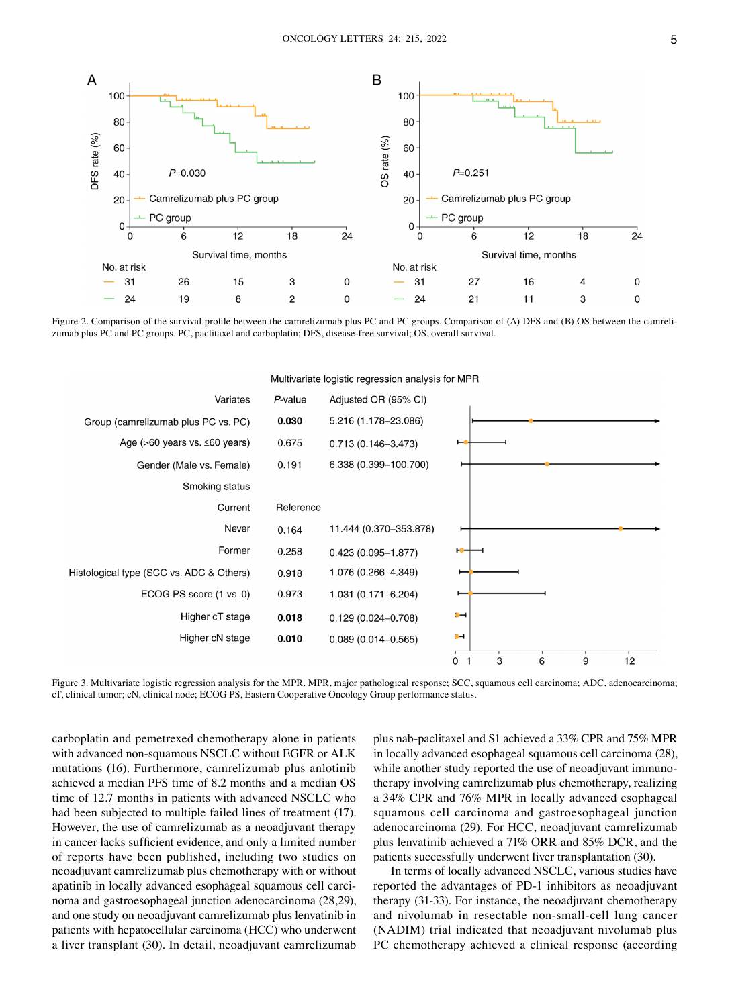

Figure 2. Comparison of the survival profile between the camrelizumab plus PC and PC groups. Comparison of (A) DFS and (B) OS between the camrelizumab plus PC and PC groups. PC, paclitaxel and carboplatin; DFS, disease-free survival; OS, overall survival.



Figure 3. Multivariate logistic regression analysis for the MPR. MPR, major pathological response; SCC, squamous cell carcinoma; ADC, adenocarcinoma; cT, clinical tumor; cN, clinical node; ECOG PS, Eastern Cooperative Oncology Group performance status.

carboplatin and pemetrexed chemotherapy alone in patients with advanced non-squamous NSCLC without EGFR or ALK mutations (16). Furthermore, camrelizumab plus anlotinib achieved a median PFS time of 8.2 months and a median OS time of 12.7 months in patients with advanced NSCLC who had been subjected to multiple failed lines of treatment (17). However, the use of camrelizumab as a neoadjuvant therapy in cancer lacks sufficient evidence, and only a limited number of reports have been published, including two studies on neoadjuvant camrelizumab plus chemotherapy with or without apatinib in locally advanced esophageal squamous cell carcinoma and gastroesophageal junction adenocarcinoma (28,29), and one study on neoadjuvant camrelizumab plus lenvatinib in patients with hepatocellular carcinoma (HCC) who underwent a liver transplant (30). In detail, neoadjuvant camrelizumab

plus nab‑paclitaxel and S1 achieved a 33% CPR and 75% MPR in locally advanced esophageal squamous cell carcinoma (28), while another study reported the use of neoadjuvant immunotherapy involving camrelizumab plus chemotherapy, realizing a 34% CPR and 76% MPR in locally advanced esophageal squamous cell carcinoma and gastroesophageal junction adenocarcinoma (29). For HCC, neoadjuvant camrelizumab plus lenvatinib achieved a 71% ORR and 85% DCR, and the patients successfully underwent liver transplantation (30).

In terms of locally advanced NSCLC, various studies have reported the advantages of PD‑1 inhibitors as neoadjuvant therapy (31‑33). For instance, the neoadjuvant chemotherapy and nivolumab in resectable non‑small‑cell lung cancer (NADIM) trial indicated that neoadjuvant nivolumab plus PC chemotherapy achieved a clinical response (according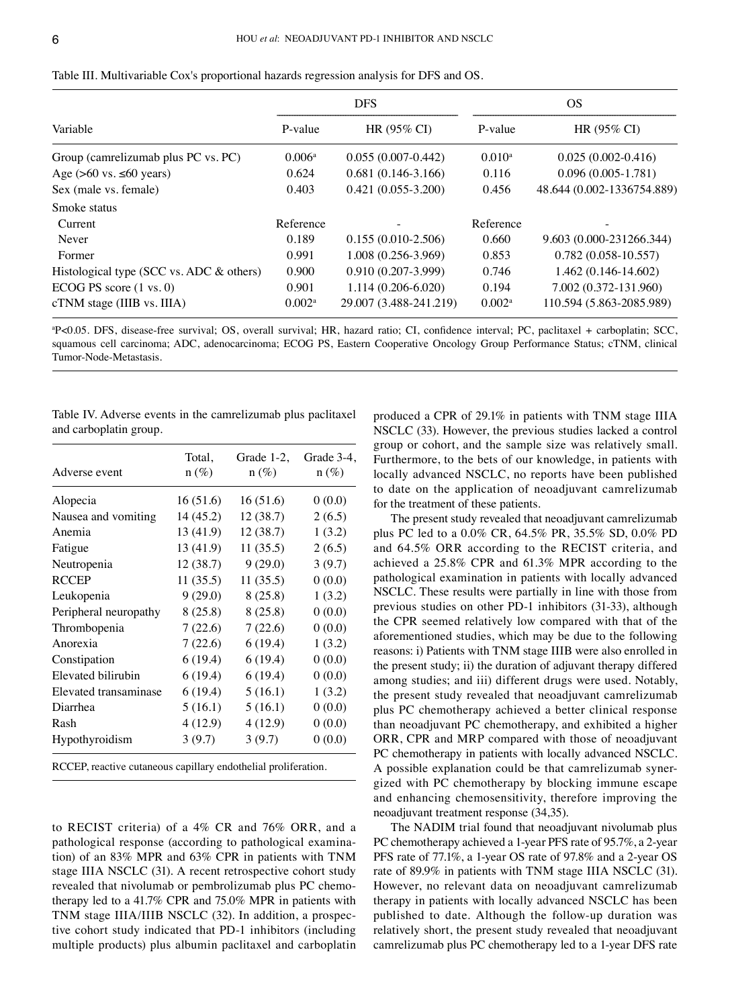|                                               | <b>DFS</b>      |                        | OS.                |                            |
|-----------------------------------------------|-----------------|------------------------|--------------------|----------------------------|
| Variable                                      | P-value         | HR (95% CI)            | P-value            | HR (95% CI)                |
| Group (camrelizumab plus PC vs. PC)           | $0.006^{\rm a}$ | $0.055(0.007 - 0.442)$ | $0.010^a$          | $0.025(0.002 - 0.416)$     |
| Age $(>60 \text{ vs. } \le 60 \text{ years})$ | 0.624           | $0.681(0.146-3.166)$   | 0.116              | $0.096(0.005-1.781)$       |
| Sex (male vs. female)                         | 0.403           | $0.421(0.055-3.200)$   | 0.456              | 48.644 (0.002-1336754.889) |
| Smoke status                                  |                 |                        |                    |                            |
| Current                                       | Reference       |                        | Reference          |                            |
| Never                                         | 0.189           | $0.155(0.010-2.506)$   | 0.660              | 9.603 (0.000-231266.344)   |
| Former                                        | 0.991           | 1.008 (0.256-3.969)    | 0.853              | $0.782(0.058-10.557)$      |
| Histological type (SCC vs. ADC & others)      | 0.900           | $0.910(0.207 - 3.999)$ | 0.746              | $1.462(0.146-14.602)$      |
| ECOG PS score $(1 \text{ vs. } 0)$            | 0.901           | $1.114(0.206 - 6.020)$ | 0.194              | 7.002 (0.372-131.960)      |
| $cTNM$ stage (IIIB vs. IIIA)                  | $0.002^{\rm a}$ | 29.007 (3.488-241.219) | 0.002 <sup>a</sup> | 110.594 (5.863-2085.989)   |

Table III. Multivariable Cox's proportional hazards regression analysis for DFS and OS.

a P<0.05. DFS, disease‑free survival; OS, overall survival; HR, hazard ratio; CI, confidence interval; PC, paclitaxel + carboplatin; SCC, squamous cell carcinoma; ADC, adenocarcinoma; ECOG PS, Eastern Cooperative Oncology Group Performance Status; cTNM, clinical Tumor‑Node‑Metastasis.

Table IV. Adverse events in the camrelizumab plus paclitaxel and carboplatin group.

| Adverse event         | Total,<br>$n (\%)$ | Grade $1-2$ ,<br>$n (\%)$ | Grade 3-4,<br>$n (\%)$ |
|-----------------------|--------------------|---------------------------|------------------------|
| Alopecia              | 16(51.6)           | 16(51.6)                  | 0(0.0)                 |
| Nausea and vomiting   | 14 (45.2)          | 12 (38.7)                 | 2(6.5)                 |
| Anemia                | 13 (41.9)          | 12(38.7)                  | 1(3.2)                 |
| Fatigue               | 13 (41.9)          | 11(35.5)                  | 2(6.5)                 |
| Neutropenia           | 12 (38.7)          | 9(29.0)                   | 3(9.7)                 |
| <b>RCCEP</b>          | 11(35.5)           | 11(35.5)                  | 0(0.0)                 |
| Leukopenia            | 9(29.0)            | 8(25.8)                   | 1(3.2)                 |
| Peripheral neuropathy | 8(25.8)            | 8(25.8)                   | 0(0.0)                 |
| Thrombopenia          | 7(22.6)            | 7(22.6)                   | 0(0.0)                 |
| Anorexia              | 7(22.6)            | 6(19.4)                   | 1(3.2)                 |
| Constipation          | 6(19.4)            | 6(19.4)                   | 0(0.0)                 |
| Elevated bilirubin    | 6(19.4)            | 6(19.4)                   | 0(0.0)                 |
| Elevated transaminase | 6(19.4)            | 5(16.1)                   | 1(3.2)                 |
| Diarrhea              | 5(16.1)            | 5(16.1)                   | 0(0.0)                 |
| Rash                  | 4(12.9)            | 4(12.9)                   | 0(0.0)                 |
| Hypothyroidism        | 3(9.7)             | 3(9.7)                    | 0(0.0)                 |

RCCEP, reactive cutaneous capillary endothelial proliferation.

to RECIST criteria) of a 4% CR and 76% ORR, and a pathological response (according to pathological examination) of an 83% MPR and 63% CPR in patients with TNM stage IIIA NSCLC (31). A recent retrospective cohort study revealed that nivolumab or pembrolizumab plus PC chemotherapy led to a 41.7% CPR and 75.0% MPR in patients with TNM stage IIIA/IIIB NSCLC (32). In addition, a prospective cohort study indicated that PD‑1 inhibitors (including multiple products) plus albumin paclitaxel and carboplatin

produced a CPR of 29.1% in patients with TNM stage IIIA NSCLC (33). However, the previous studies lacked a control group or cohort, and the sample size was relatively small. Furthermore, to the bets of our knowledge, in patients with locally advanced NSCLC, no reports have been published to date on the application of neoadjuvant camrelizumab for the treatment of these patients.

The present study revealed that neoadjuvant camrelizumab plus PC led to a 0.0% CR, 64.5% PR, 35.5% SD, 0.0% PD and 64.5% ORR according to the RECIST criteria, and achieved a 25.8% CPR and 61.3% MPR according to the pathological examination in patients with locally advanced NSCLC. These results were partially in line with those from previous studies on other PD‑1 inhibitors (31‑33), although the CPR seemed relatively low compared with that of the aforementioned studies, which may be due to the following reasons: i) Patients with TNM stage IIIB were also enrolled in the present study; ii) the duration of adjuvant therapy differed among studies; and iii) different drugs were used. Notably, the present study revealed that neoadjuvant camrelizumab plus PC chemotherapy achieved a better clinical response than neoadjuvant PC chemotherapy, and exhibited a higher ORR, CPR and MRP compared with those of neoadjuvant PC chemotherapy in patients with locally advanced NSCLC. A possible explanation could be that camrelizumab synergized with PC chemotherapy by blocking immune escape and enhancing chemosensitivity, therefore improving the neoadjuvant treatment response (34,35).

The NADIM trial found that neoadjuvant nivolumab plus PC chemotherapy achieved a 1-year PFS rate of 95.7%, a 2-year PFS rate of 77.1%, a 1‑year OS rate of 97.8% and a 2‑year OS rate of 89.9% in patients with TNM stage IIIA NSCLC (31). However, no relevant data on neoadjuvant camrelizumab therapy in patients with locally advanced NSCLC has been published to date. Although the follow‑up duration was relatively short, the present study revealed that neoadjuvant camrelizumab plus PC chemotherapy led to a 1‑year DFS rate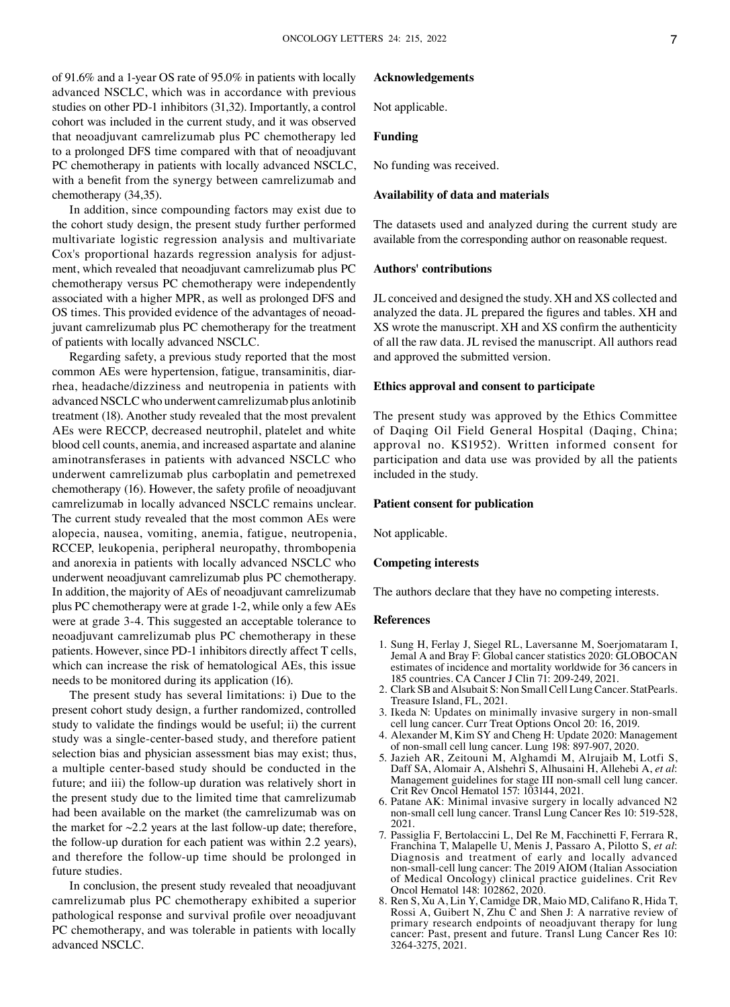of 91.6% and a 1‑year OS rate of 95.0% in patients with locally advanced NSCLC, which was in accordance with previous studies on other PD‑1 inhibitors (31,32). Importantly, a control cohort was included in the current study, and it was observed that neoadjuvant camrelizumab plus PC chemotherapy led to a prolonged DFS time compared with that of neoadjuvant PC chemotherapy in patients with locally advanced NSCLC, with a benefit from the synergy between camrelizumab and chemotherapy (34,35).

In addition, since compounding factors may exist due to the cohort study design, the present study further performed multivariate logistic regression analysis and multivariate Cox's proportional hazards regression analysis for adjustment, which revealed that neoadjuvant camrelizumab plus PC chemotherapy versus PC chemotherapy were independently associated with a higher MPR, as well as prolonged DFS and OS times. This provided evidence of the advantages of neoadjuvant camrelizumab plus PC chemotherapy for the treatment of patients with locally advanced NSCLC.

Regarding safety, a previous study reported that the most common AEs were hypertension, fatigue, transaminitis, diarrhea, headache/dizziness and neutropenia in patients with advanced NSCLC who underwent camrelizumab plus anlotinib treatment (18). Another study revealed that the most prevalent AEs were RECCP, decreased neutrophil, platelet and white blood cell counts, anemia, and increased aspartate and alanine aminotransferases in patients with advanced NSCLC who underwent camrelizumab plus carboplatin and pemetrexed chemotherapy (16). However, the safety profile of neoadjuvant camrelizumab in locally advanced NSCLC remains unclear. The current study revealed that the most common AEs were alopecia, nausea, vomiting, anemia, fatigue, neutropenia, RCCEP, leukopenia, peripheral neuropathy, thrombopenia and anorexia in patients with locally advanced NSCLC who underwent neoadjuvant camrelizumab plus PC chemotherapy. In addition, the majority of AEs of neoadjuvant camrelizumab plus PC chemotherapy were at grade 1‑2, while only a few AEs were at grade 3-4. This suggested an acceptable tolerance to neoadjuvant camrelizumab plus PC chemotherapy in these patients. However, since PD‑1 inhibitors directly affect T cells, which can increase the risk of hematological AEs, this issue needs to be monitored during its application (16).

The present study has several limitations: i) Due to the present cohort study design, a further randomized, controlled study to validate the findings would be useful; ii) the current study was a single‑center‑based study, and therefore patient selection bias and physician assessment bias may exist; thus, a multiple center‑based study should be conducted in the future; and iii) the follow‑up duration was relatively short in the present study due to the limited time that camrelizumab had been available on the market (the camrelizumab was on the market for  $\sim$ 2.2 years at the last follow-up date; therefore, the follow‑up duration for each patient was within 2.2 years), and therefore the follow‑up time should be prolonged in future studies.

In conclusion, the present study revealed that neoadjuvant camrelizumab plus PC chemotherapy exhibited a superior pathological response and survival profile over neoadjuvant PC chemotherapy, and was tolerable in patients with locally advanced NSCLC.

# **Acknowledgements**

Not applicable.

# **Funding**

No funding was received.

### **Availability of data and materials**

The datasets used and analyzed during the current study are available from the corresponding author on reasonable request.

#### **Authors' contributions**

JL conceived and designed the study. XH and XS collected and analyzed the data. JL prepared the figures and tables. XH and XS wrote the manuscript. XH and XS confirm the authenticity of all the raw data. JL revised the manuscript. All authors read and approved the submitted version.

# **Ethics approval and consent to participate**

The present study was approved by the Ethics Committee of Daqing Oil Field General Hospital (Daqing, China; approval no. KS1952). Written informed consent for participation and data use was provided by all the patients included in the study.

#### **Patient consent for publication**

Not applicable.

#### **Competing interests**

The authors declare that they have no competing interests.

#### **References**

- 1. Sung H, Ferlay J, Siegel RL, Laversanne M, Soerjomataram I, Jemal A and Bray F: Global cancer statistics 2020: GLOBOCAN estimates of incidence and mortality worldwide for 36 cancers in 185 countries. CA Cancer J Clin 71: 209‑249, 2021.
- 2. Clark SB and Alsubait S: Non Small Cell Lung Cancer. StatPearls. Treasure Island, FL, 2021.
- 3. Ikeda N: Updates on minimally invasive surgery in non‑small cell lung cancer. Curr Treat Options Oncol 20: 16, 2019.
- 4. Alexander M, Kim SY and Cheng H: Update 2020: Management of non‑small cell lung cancer. Lung 198: 897‑907, 2020.
- 5. Jazieh AR, Zeitouni M, Alghamdi M, Alrujaib M, Lotfi S, Daff SA, Alomair A, Alshehri S, Alhusaini H, Allehebi A, *et al*: Management guidelines for stage III non‑small cell lung cancer. Crit Rev Oncol Hematol 157: 103144, 2021.
- 6. Patane AK: Minimal invasive surgery in locally advanced N2 non‑small cell lung cancer. Transl Lung Cancer Res 10: 519‑528, 2021.
- 7. Passiglia F, Bertolaccini L, Del Re M, Facchinetti F, Ferrara R, Franchina T, Malapelle U, Menis J, Passaro A, Pilotto S, *et al*: Diagnosis and treatment of early and locally advanced non‑small‑cell lung cancer: The 2019 AIOM (Italian Association of Medical Oncology) clinical practice guidelines. Crit Rev Oncol Hematol 148: 102862, 2020.
- 8. Ren S, Xu A, Lin Y, Camidge DR, Maio MD, Califano R, Hida T, Rossi A, Guibert N, Zhu C and Shen J: A narrative review of primary research endpoints of neoadjuvant therapy for lung cancer: Past, present and future. Transl Lung Cancer Res 10: 3264‑3275, 2021.